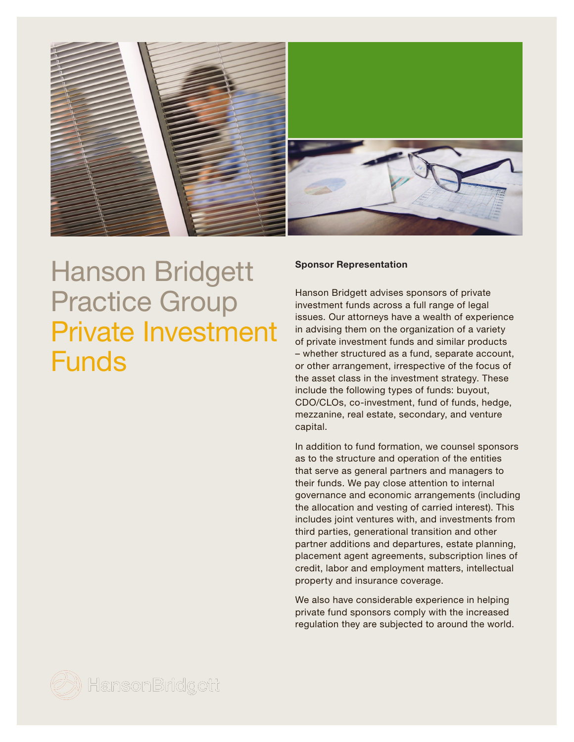

## Hanson Bridgett Practice Group Private Investment **Funds**

## Sponsor Representation

Hanson Bridgett advises sponsors of private investment funds across a full range of legal issues. Our attorneys have a wealth of experience in advising them on the organization of a variety of private investment funds and similar products – whether structured as a fund, separate account, or other arrangement, irrespective of the focus of the asset class in the investment strategy. These include the following types of funds: buyout, CDO/CLOs, co-investment, fund of funds, hedge, mezzanine, real estate, secondary, and venture capital.

In addition to fund formation, we counsel sponsors as to the structure and operation of the entities that serve as general partners and managers to their funds. We pay close attention to internal governance and economic arrangements (including the allocation and vesting of carried interest). This includes joint ventures with, and investments from third parties, generational transition and other partner additions and departures, estate planning, placement agent agreements, subscription lines of credit, labor and employment matters, intellectual property and insurance coverage.

We also have considerable experience in helping private fund sponsors comply with the increased regulation they are subjected to around the world.